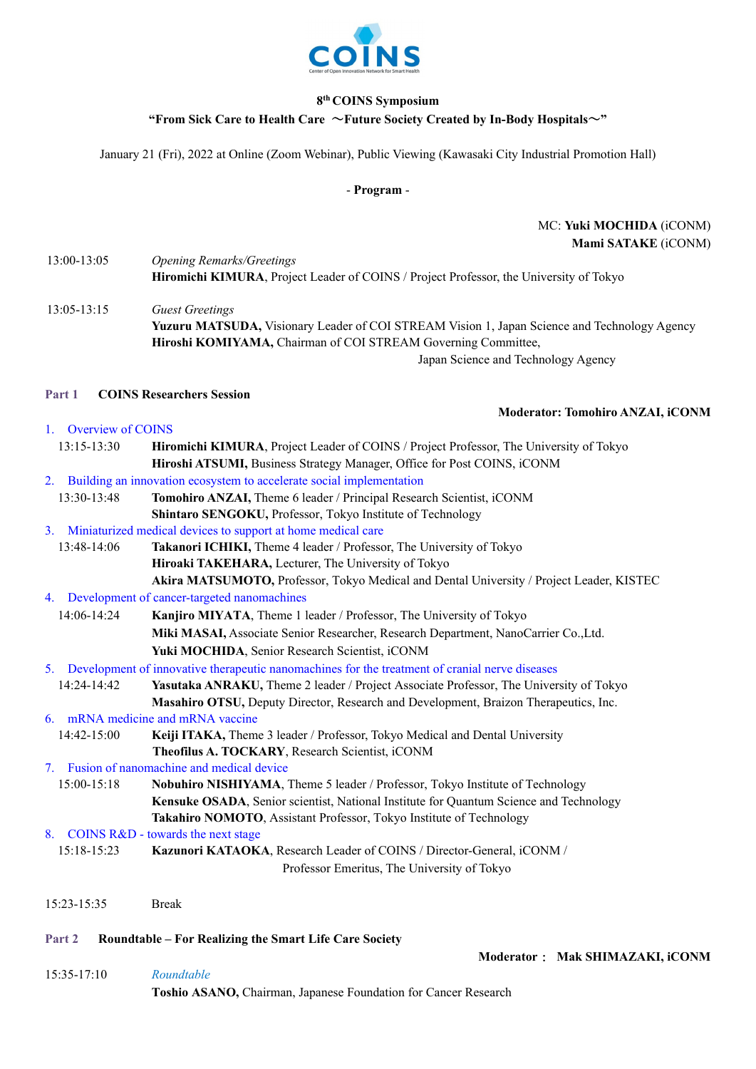

## **8th COINS Symposium**

#### **"From Sick Care to Health Care** ~**Future Society Created by In-Body Hospitals**~**"**

January 21 (Fri), 2022 at Online (Zoom Webinar), Public Viewing (Kawasaki City Industrial Promotion Hall)

- **Program** -

# MC: **Yuki MOCHIDA** (iCONM) **Mami SATAKE** (iCONM)

| 13:00-13:05 | <b>Opening Remarks/Greetings</b>                                                       |
|-------------|----------------------------------------------------------------------------------------|
|             | Hiromichi KIMURA, Project Leader of COINS / Project Professor, the University of Tokyo |

13:05-13:15 *Guest Greetings*  **Yuzuru MATSUDA,** Visionary Leader of COI STREAM Vision 1, Japan Science and Technology Agency  **Hiroshi KOMIYAMA,** Chairman of COI STREAM Governing Committee,

Japan Science and Technology Agency

### **Part 1 COINS Researchers Session**

1. Overview of COINS

| 13:15-13:30 | Hiromichi KIMURA, Project Leader of COINS / Project Professor, The University of Tokyo |
|-------------|----------------------------------------------------------------------------------------|
|             | Hiroshi ATSUMI, Business Strategy Manager, Office for Post COINS, iCONM                |

2. Building an innovation ecosystem to accelerate social implementation

| 13:30-13:48 | Tomohiro ANZAI, Theme 6 leader / Principal Research Scientist, iCONM |
|-------------|----------------------------------------------------------------------|
|             | Shintaro SENGOKU, Professor, Tokyo Institute of Technology           |

- 3. Miniaturized medical devices to support at home medical care
- 13:48-14:06 **Takanori ICHIKI,** Theme 4 leader / Professor, The University of Tokyo **Hiroaki TAKEHARA,** Lecturer, The University of Tokyo **Akira MATSUMOTO,** Professor, Tokyo Medical and Dental University / Project Leader, KISTEC
- 4. Development of cancer-targeted nanomachines

14:06-14:24 **Kanjiro MIYATA**, Theme 1 leader / Professor, The University of Tokyo **Miki MASAI,** Associate Senior Researcher, Research Department, NanoCarrier Co.,Ltd. **Yuki MOCHIDA**, Senior Research Scientist, iCONM

5. Development of innovative therapeutic nanomachines for the treatment of cranial nerve diseases

14:24-14:42 **Yasutaka ANRAKU,** Theme 2 leader / Project Associate Professor, The University of Tokyo **Masahiro OTSU,** Deputy Director, Research and Development, Braizon Therapeutics, Inc. 6. mRNA medicine and mRNA vaccine

- 14:42-15:00 **Keiji ITAKA,** Theme 3 leader / Professor, Tokyo Medical and Dental University **Theofilus A. TOCKARY**, Research Scientist, iCONM
- 7. Fusion of nanomachine and medical device
- 15:00-15:18 **Nobuhiro NISHIYAMA**, Theme 5 leader / Professor, Tokyo Institute of Technology **Kensuke OSADA**, Senior scientist, National Institute for Quantum Science and Technology **Takahiro NOMOTO**, Assistant Professor, Tokyo Institute of Technology
- 8. COINS R&D towards the next stage

| 15:18-15:23 | <b>Kazunori KATAOKA, Research Leader of COINS / Director-General, iCONM /</b> |
|-------------|-------------------------------------------------------------------------------|
|             | Professor Emeritus, The University of Tokyo                                   |

15:23-15:35 Break

# **Part 2 Roundtable – For Realizing the Smart Life Care Society**

15:35-17:10 *Roundtable* **Toshio ASANO,** Chairman, Japanese Foundation for Cancer Research

**Moderator: Tomohiro ANZAI, iCONM** 

**Moderator**: **Mak SHIMAZAKI, iCONM**